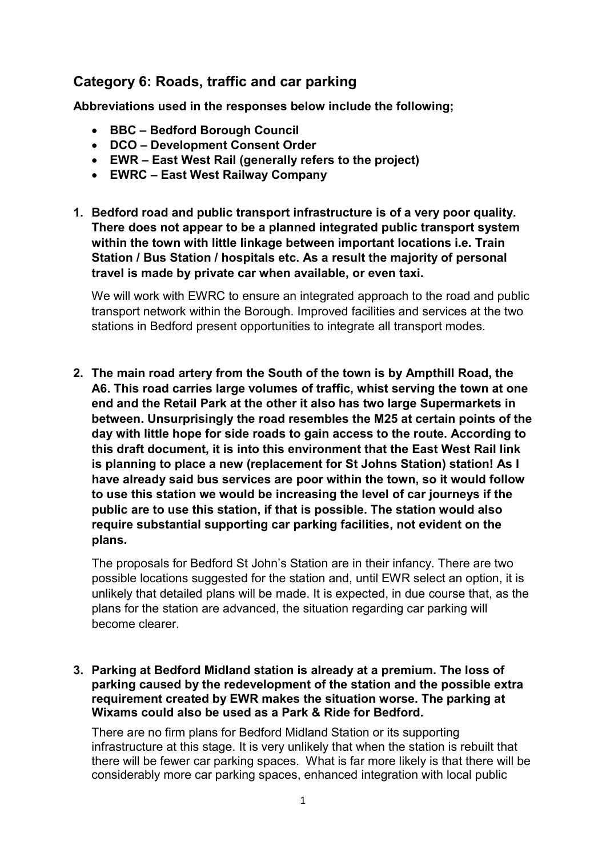# Category 6: Roads, traffic and car parking

Abbreviations used in the responses below include the following;

- BBC Bedford Borough Council
- DCO Development Consent Order
- EWR East West Rail (generally refers to the project)
- EWRC East West Railway Company
- 1. Bedford road and public transport infrastructure is of a very poor quality. There does not appear to be a planned integrated public transport system within the town with little linkage between important locations i.e. Train Station / Bus Station / hospitals etc. As a result the majority of personal travel is made by private car when available, or even taxi.

 We will work with EWRC to ensure an integrated approach to the road and public transport network within the Borough. Improved facilities and services at the two stations in Bedford present opportunities to integrate all transport modes.

 2. The main road artery from the South of the town is by Ampthill Road, the A6. This road carries large volumes of traffic, whist serving the town at one end and the Retail Park at the other it also has two large Supermarkets in between. Unsurprisingly the road resembles the M25 at certain points of the day with little hope for side roads to gain access to the route. According to this draft document, it is into this environment that the East West Rail link is planning to place a new (replacement for St Johns Station) station! As I have already said bus services are poor within the town, so it would follow to use this station we would be increasing the level of car journeys if the public are to use this station, if that is possible. The station would also require substantial supporting car parking facilities, not evident on the plans.

 The proposals for Bedford St John's Station are in their infancy. There are two possible locations suggested for the station and, until EWR select an option, it is unlikely that detailed plans will be made. It is expected, in due course that, as the plans for the station are advanced, the situation regarding car parking will become clearer.

 3. Parking at Bedford Midland station is already at a premium. The loss of parking caused by the redevelopment of the station and the possible extra requirement created by EWR makes the situation worse. The parking at Wixams could also be used as a Park & Ride for Bedford.

 There are no firm plans for Bedford Midland Station or its supporting infrastructure at this stage. It is very unlikely that when the station is rebuilt that there will be fewer car parking spaces. What is far more likely is that there will be considerably more car parking spaces, enhanced integration with local public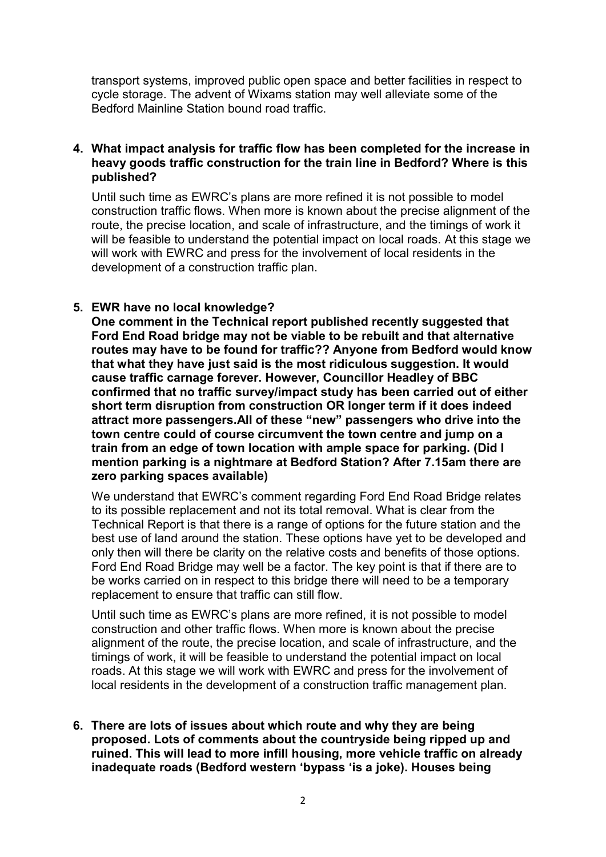transport systems, improved public open space and better facilities in respect to cycle storage. The advent of Wixams station may well alleviate some of the Bedford Mainline Station bound road traffic.

## 4. What impact analysis for traffic flow has been completed for the increase in heavy goods traffic construction for the train line in Bedford? Where is this published?

 Until such time as EWRC's plans are more refined it is not possible to model construction traffic flows. When more is known about the precise alignment of the route, the precise location, and scale of infrastructure, and the timings of work it will be feasible to understand the potential impact on local roads. At this stage we will work with EWRC and press for the involvement of local residents in the development of a construction traffic plan.

## 5. EWR have no local knowledge?

 One comment in the Technical report published recently suggested that Ford End Road bridge may not be viable to be rebuilt and that alternative routes may have to be found for traffic?? Anyone from Bedford would know that what they have just said is the most ridiculous suggestion. It would cause traffic carnage forever. However, Councillor Headley of BBC confirmed that no traffic survey/impact study has been carried out of either short term disruption from construction OR longer term if it does indeed attract more passengers.All of these "new" passengers who drive into the town centre could of course circumvent the town centre and jump on a train from an edge of town location with ample space for parking. (Did I mention parking is a nightmare at Bedford Station? After 7.15am there are zero parking spaces available)

 We understand that EWRC's comment regarding Ford End Road Bridge relates to its possible replacement and not its total removal. What is clear from the Technical Report is that there is a range of options for the future station and the best use of land around the station. These options have yet to be developed and only then will there be clarity on the relative costs and benefits of those options. Ford End Road Bridge may well be a factor. The key point is that if there are to be works carried on in respect to this bridge there will need to be a temporary replacement to ensure that traffic can still flow.

 Until such time as EWRC's plans are more refined, it is not possible to model construction and other traffic flows. When more is known about the precise alignment of the route, the precise location, and scale of infrastructure, and the timings of work, it will be feasible to understand the potential impact on local roads. At this stage we will work with EWRC and press for the involvement of local residents in the development of a construction traffic management plan.

 6. There are lots of issues about which route and why they are being proposed. Lots of comments about the countryside being ripped up and ruined. This will lead to more infill housing, more vehicle traffic on already inadequate roads (Bedford western 'bypass 'is a joke). Houses being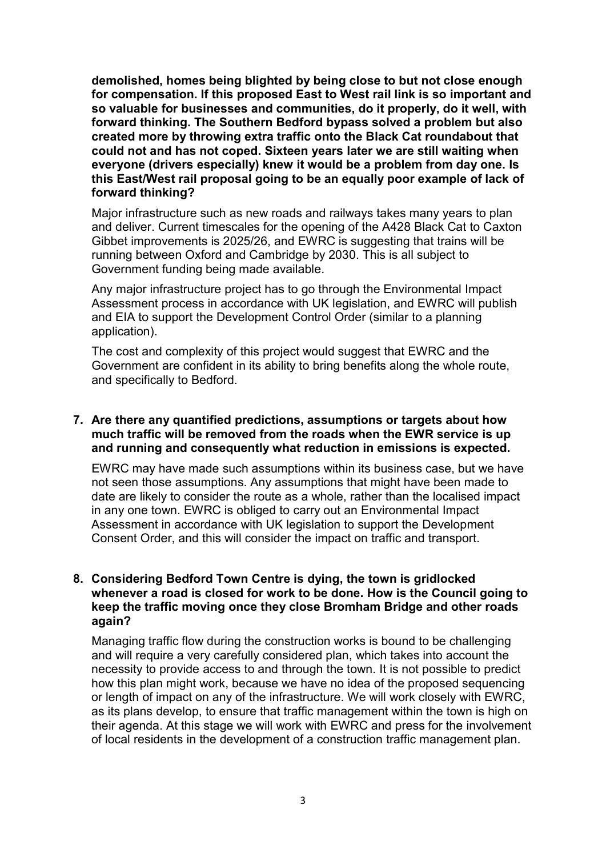demolished, homes being blighted by being close to but not close enough for compensation. If this proposed East to West rail link is so important and so valuable for businesses and communities, do it properly, do it well, with forward thinking. The Southern Bedford bypass solved a problem but also created more by throwing extra traffic onto the Black Cat roundabout that could not and has not coped. Sixteen years later we are still waiting when everyone (drivers especially) knew it would be a problem from day one. Is this East/West rail proposal going to be an equally poor example of lack of forward thinking?

 Major infrastructure such as new roads and railways takes many years to plan and deliver. Current timescales for the opening of the A428 Black Cat to Caxton Gibbet improvements is 2025/26, and EWRC is suggesting that trains will be running between Oxford and Cambridge by 2030. This is all subject to Government funding being made available.

 Any major infrastructure project has to go through the Environmental Impact Assessment process in accordance with UK legislation, and EWRC will publish and EIA to support the Development Control Order (similar to a planning application).

 The cost and complexity of this project would suggest that EWRC and the Government are confident in its ability to bring benefits along the whole route, and specifically to Bedford.

## 7. Are there any quantified predictions, assumptions or targets about how much traffic will be removed from the roads when the EWR service is up and running and consequently what reduction in emissions is expected.

 EWRC may have made such assumptions within its business case, but we have not seen those assumptions. Any assumptions that might have been made to date are likely to consider the route as a whole, rather than the localised impact in any one town. EWRC is obliged to carry out an Environmental Impact Assessment in accordance with UK legislation to support the Development Consent Order, and this will consider the impact on traffic and transport.

# 8. Considering Bedford Town Centre is dying, the town is gridlocked whenever a road is closed for work to be done. How is the Council going to keep the traffic moving once they close Bromham Bridge and other roads again?

 Managing traffic flow during the construction works is bound to be challenging and will require a very carefully considered plan, which takes into account the necessity to provide access to and through the town. It is not possible to predict how this plan might work, because we have no idea of the proposed sequencing or length of impact on any of the infrastructure. We will work closely with EWRC, as its plans develop, to ensure that traffic management within the town is high on their agenda. At this stage we will work with EWRC and press for the involvement of local residents in the development of a construction traffic management plan.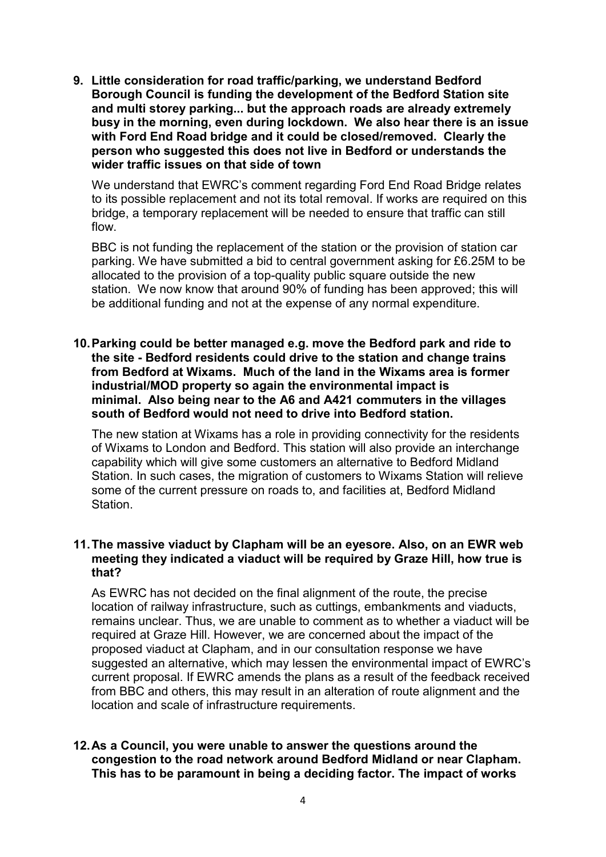9. Little consideration for road traffic/parking, we understand Bedford Borough Council is funding the development of the Bedford Station site and multi storey parking... but the approach roads are already extremely busy in the morning, even during lockdown. We also hear there is an issue with Ford End Road bridge and it could be closed/removed. Clearly the person who suggested this does not live in Bedford or understands the wider traffic issues on that side of town

 We understand that EWRC's comment regarding Ford End Road Bridge relates to its possible replacement and not its total removal. If works are required on this bridge, a temporary replacement will be needed to ensure that traffic can still flow.

 BBC is not funding the replacement of the station or the provision of station car parking. We have submitted a bid to central government asking for £6.25M to be allocated to the provision of a top-quality public square outside the new station. We now know that around 90% of funding has been approved; this will be additional funding and not at the expense of any normal expenditure.

 10.Parking could be better managed e.g. move the Bedford park and ride to the site - Bedford residents could drive to the station and change trains from Bedford at Wixams. Much of the land in the Wixams area is former industrial/MOD property so again the environmental impact is minimal. Also being near to the A6 and A421 commuters in the villages south of Bedford would not need to drive into Bedford station.

 The new station at Wixams has a role in providing connectivity for the residents of Wixams to London and Bedford. This station will also provide an interchange capability which will give some customers an alternative to Bedford Midland Station. In such cases, the migration of customers to Wixams Station will relieve some of the current pressure on roads to, and facilities at, Bedford Midland Station.

# 11.The massive viaduct by Clapham will be an eyesore. Also, on an EWR web meeting they indicated a viaduct will be required by Graze Hill, how true is that?

 As EWRC has not decided on the final alignment of the route, the precise location of railway infrastructure, such as cuttings, embankments and viaducts, remains unclear. Thus, we are unable to comment as to whether a viaduct will be required at Graze Hill. However, we are concerned about the impact of the proposed viaduct at Clapham, and in our consultation response we have suggested an alternative, which may lessen the environmental impact of EWRC's current proposal. If EWRC amends the plans as a result of the feedback received from BBC and others, this may result in an alteration of route alignment and the location and scale of infrastructure requirements.

# 12.As a Council, you were unable to answer the questions around the congestion to the road network around Bedford Midland or near Clapham. This has to be paramount in being a deciding factor. The impact of works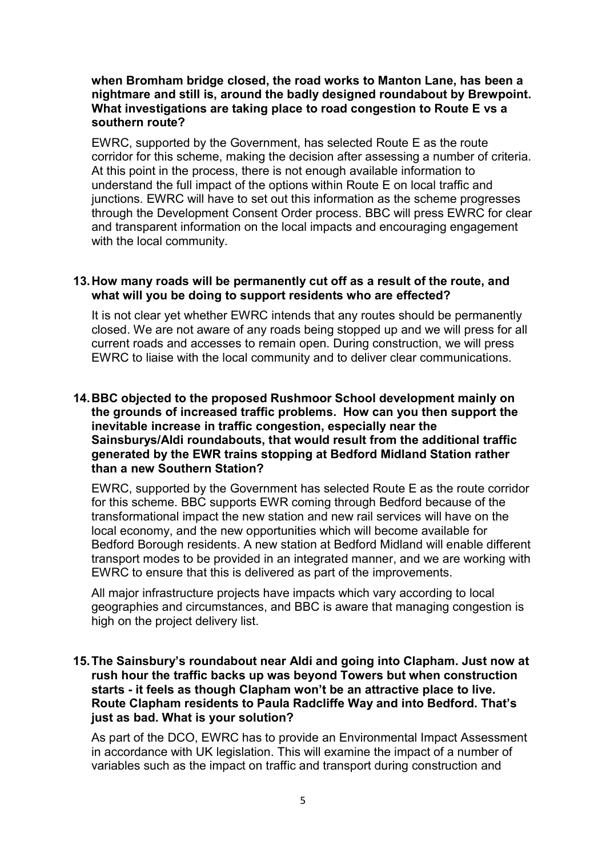# when Bromham bridge closed, the road works to Manton Lane, has been a nightmare and still is, around the badly designed roundabout by Brewpoint. What investigations are taking place to road congestion to Route E vs a southern route?

 EWRC, supported by the Government, has selected Route E as the route corridor for this scheme, making the decision after assessing a number of criteria. At this point in the process, there is not enough available information to understand the full impact of the options within Route E on local traffic and junctions. EWRC will have to set out this information as the scheme progresses through the Development Consent Order process. BBC will press EWRC for clear and transparent information on the local impacts and encouraging engagement with the local community.

# 13.How many roads will be permanently cut off as a result of the route, and what will you be doing to support residents who are effected?

 It is not clear yet whether EWRC intends that any routes should be permanently closed. We are not aware of any roads being stopped up and we will press for all current roads and accesses to remain open. During construction, we will press EWRC to liaise with the local community and to deliver clear communications.

# 14.BBC objected to the proposed Rushmoor School development mainly on the grounds of increased traffic problems. How can you then support the inevitable increase in traffic congestion, especially near the Sainsburys/Aldi roundabouts, that would result from the additional traffic generated by the EWR trains stopping at Bedford Midland Station rather than a new Southern Station?

 EWRC, supported by the Government has selected Route E as the route corridor for this scheme. BBC supports EWR coming through Bedford because of the transformational impact the new station and new rail services will have on the local economy, and the new opportunities which will become available for Bedford Borough residents. A new station at Bedford Midland will enable different transport modes to be provided in an integrated manner, and we are working with EWRC to ensure that this is delivered as part of the improvements.

 All major infrastructure projects have impacts which vary according to local geographies and circumstances, and BBC is aware that managing congestion is high on the project delivery list.

# 15.The Sainsbury's roundabout near Aldi and going into Clapham. Just now at rush hour the traffic backs up was beyond Towers but when construction starts - it feels as though Clapham won't be an attractive place to live. Route Clapham residents to Paula Radcliffe Way and into Bedford. That's just as bad. What is your solution?

 As part of the DCO, EWRC has to provide an Environmental Impact Assessment in accordance with UK legislation. This will examine the impact of a number of variables such as the impact on traffic and transport during construction and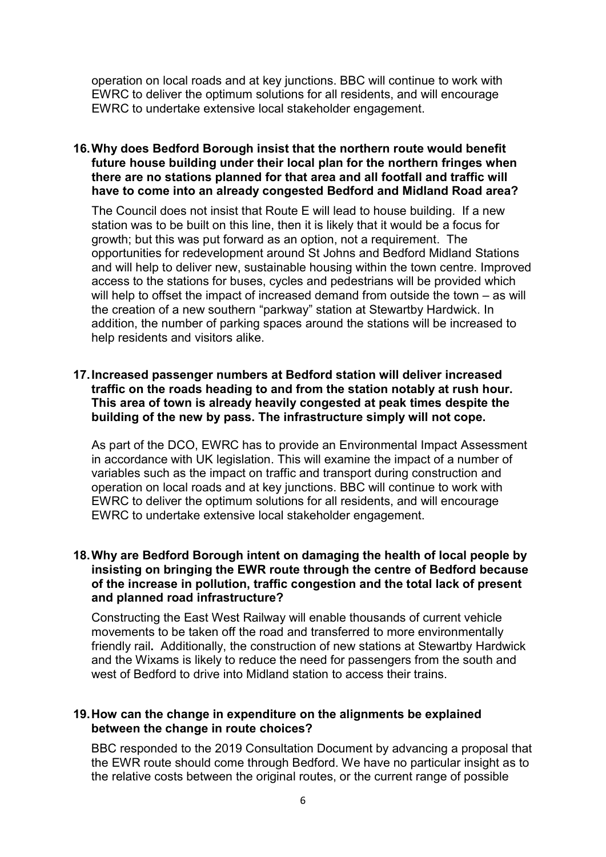operation on local roads and at key junctions. BBC will continue to work with EWRC to deliver the optimum solutions for all residents, and will encourage EWRC to undertake extensive local stakeholder engagement.

# 16.Why does Bedford Borough insist that the northern route would benefit future house building under their local plan for the northern fringes when there are no stations planned for that area and all footfall and traffic will have to come into an already congested Bedford and Midland Road area?

 The Council does not insist that Route E will lead to house building. If a new station was to be built on this line, then it is likely that it would be a focus for growth; but this was put forward as an option, not a requirement. The opportunities for redevelopment around St Johns and Bedford Midland Stations and will help to deliver new, sustainable housing within the town centre. Improved access to the stations for buses, cycles and pedestrians will be provided which will help to offset the impact of increased demand from outside the town – as will the creation of a new southern "parkway" station at Stewartby Hardwick. In addition, the number of parking spaces around the stations will be increased to help residents and visitors alike.

## 17.Increased passenger numbers at Bedford station will deliver increased traffic on the roads heading to and from the station notably at rush hour. This area of town is already heavily congested at peak times despite the building of the new by pass. The infrastructure simply will not cope.

 As part of the DCO, EWRC has to provide an Environmental Impact Assessment in accordance with UK legislation. This will examine the impact of a number of variables such as the impact on traffic and transport during construction and operation on local roads and at key junctions. BBC will continue to work with EWRC to deliver the optimum solutions for all residents, and will encourage EWRC to undertake extensive local stakeholder engagement.

# 18.Why are Bedford Borough intent on damaging the health of local people by insisting on bringing the EWR route through the centre of Bedford because of the increase in pollution, traffic congestion and the total lack of present and planned road infrastructure?

 Constructing the East West Railway will enable thousands of current vehicle movements to be taken off the road and transferred to more environmentally friendly rail. Additionally, the construction of new stations at Stewartby Hardwick and the Wixams is likely to reduce the need for passengers from the south and west of Bedford to drive into Midland station to access their trains.

## 19.How can the change in expenditure on the alignments be explained between the change in route choices?

 BBC responded to the 2019 Consultation Document by advancing a proposal that the EWR route should come through Bedford. We have no particular insight as to the relative costs between the original routes, or the current range of possible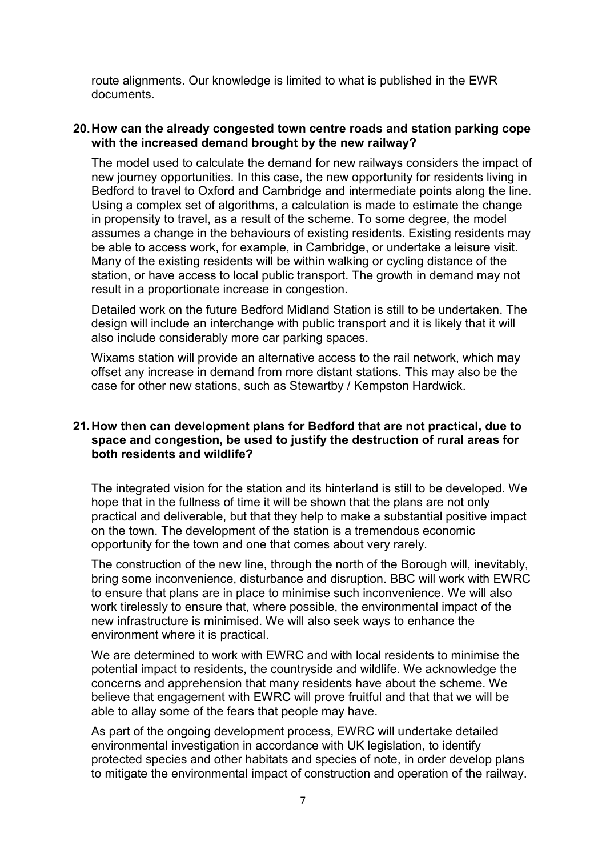route alignments. Our knowledge is limited to what is published in the EWR documents.

# 20.How can the already congested town centre roads and station parking cope with the increased demand brought by the new railway?

 The model used to calculate the demand for new railways considers the impact of new journey opportunities. In this case, the new opportunity for residents living in Bedford to travel to Oxford and Cambridge and intermediate points along the line. Using a complex set of algorithms, a calculation is made to estimate the change in propensity to travel, as a result of the scheme. To some degree, the model assumes a change in the behaviours of existing residents. Existing residents may be able to access work, for example, in Cambridge, or undertake a leisure visit. Many of the existing residents will be within walking or cycling distance of the station, or have access to local public transport. The growth in demand may not result in a proportionate increase in congestion.

 Detailed work on the future Bedford Midland Station is still to be undertaken. The design will include an interchange with public transport and it is likely that it will also include considerably more car parking spaces.

 Wixams station will provide an alternative access to the rail network, which may offset any increase in demand from more distant stations. This may also be the case for other new stations, such as Stewartby / Kempston Hardwick.

# 21.How then can development plans for Bedford that are not practical, due to space and congestion, be used to justify the destruction of rural areas for both residents and wildlife?

 The integrated vision for the station and its hinterland is still to be developed. We hope that in the fullness of time it will be shown that the plans are not only practical and deliverable, but that they help to make a substantial positive impact on the town. The development of the station is a tremendous economic opportunity for the town and one that comes about very rarely.

 The construction of the new line, through the north of the Borough will, inevitably, bring some inconvenience, disturbance and disruption. BBC will work with EWRC to ensure that plans are in place to minimise such inconvenience. We will also work tirelessly to ensure that, where possible, the environmental impact of the new infrastructure is minimised. We will also seek ways to enhance the environment where it is practical.

 We are determined to work with EWRC and with local residents to minimise the potential impact to residents, the countryside and wildlife. We acknowledge the concerns and apprehension that many residents have about the scheme. We believe that engagement with EWRC will prove fruitful and that that we will be able to allay some of the fears that people may have.

 As part of the ongoing development process, EWRC will undertake detailed environmental investigation in accordance with UK legislation, to identify protected species and other habitats and species of note, in order develop plans to mitigate the environmental impact of construction and operation of the railway.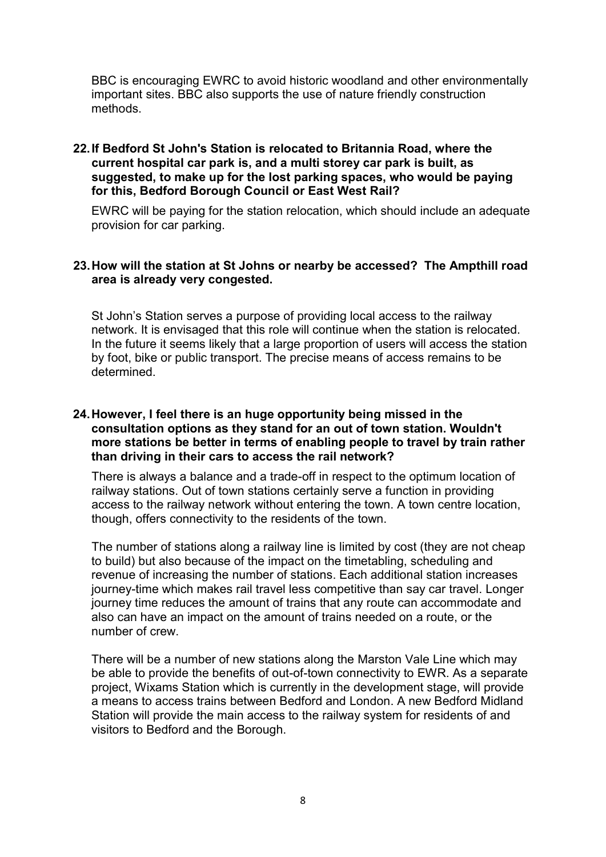BBC is encouraging EWRC to avoid historic woodland and other environmentally important sites. BBC also supports the use of nature friendly construction methods.

# 22.If Bedford St John's Station is relocated to Britannia Road, where the current hospital car park is, and a multi storey car park is built, as suggested, to make up for the lost parking spaces, who would be paying for this, Bedford Borough Council or East West Rail?

 EWRC will be paying for the station relocation, which should include an adequate provision for car parking.

# 23.How will the station at St Johns or nearby be accessed? The Ampthill road area is already very congested.

 St John's Station serves a purpose of providing local access to the railway network. It is envisaged that this role will continue when the station is relocated. In the future it seems likely that a large proportion of users will access the station by foot, bike or public transport. The precise means of access remains to be determined.

# 24.However, I feel there is an huge opportunity being missed in the consultation options as they stand for an out of town station. Wouldn't more stations be better in terms of enabling people to travel by train rather than driving in their cars to access the rail network?

 There is always a balance and a trade-off in respect to the optimum location of railway stations. Out of town stations certainly serve a function in providing access to the railway network without entering the town. A town centre location, though, offers connectivity to the residents of the town.

 The number of stations along a railway line is limited by cost (they are not cheap to build) but also because of the impact on the timetabling, scheduling and revenue of increasing the number of stations. Each additional station increases journey-time which makes rail travel less competitive than say car travel. Longer journey time reduces the amount of trains that any route can accommodate and also can have an impact on the amount of trains needed on a route, or the number of crew.

 There will be a number of new stations along the Marston Vale Line which may be able to provide the benefits of out-of-town connectivity to EWR. As a separate project, Wixams Station which is currently in the development stage, will provide a means to access trains between Bedford and London. A new Bedford Midland Station will provide the main access to the railway system for residents of and visitors to Bedford and the Borough.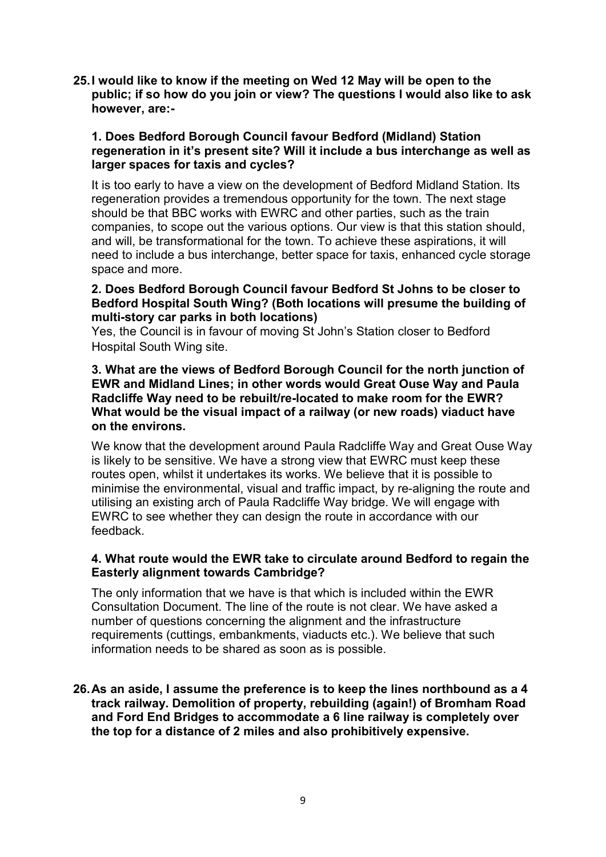25.I would like to know if the meeting on Wed 12 May will be open to the public; if so how do you join or view? The questions I would also like to ask however, are:-

# 1. Does Bedford Borough Council favour Bedford (Midland) Station regeneration in it's present site? Will it include a bus interchange as well as larger spaces for taxis and cycles?

 It is too early to have a view on the development of Bedford Midland Station. Its regeneration provides a tremendous opportunity for the town. The next stage should be that BBC works with EWRC and other parties, such as the train companies, to scope out the various options. Our view is that this station should, and will, be transformational for the town. To achieve these aspirations, it will need to include a bus interchange, better space for taxis, enhanced cycle storage space and more.

# 2. Does Bedford Borough Council favour Bedford St Johns to be closer to Bedford Hospital South Wing? (Both locations will presume the building of multi-story car parks in both locations)

 Yes, the Council is in favour of moving St John's Station closer to Bedford Hospital South Wing site.

# 3. What are the views of Bedford Borough Council for the north junction of EWR and Midland Lines; in other words would Great Ouse Way and Paula Radcliffe Way need to be rebuilt/re-located to make room for the EWR? What would be the visual impact of a railway (or new roads) viaduct have on the environs.

 We know that the development around Paula Radcliffe Way and Great Ouse Way is likely to be sensitive. We have a strong view that EWRC must keep these routes open, whilst it undertakes its works. We believe that it is possible to minimise the environmental, visual and traffic impact, by re-aligning the route and utilising an existing arch of Paula Radcliffe Way bridge. We will engage with EWRC to see whether they can design the route in accordance with our feedback.

# 4. What route would the EWR take to circulate around Bedford to regain the Easterly alignment towards Cambridge?

 The only information that we have is that which is included within the EWR Consultation Document. The line of the route is not clear. We have asked a number of questions concerning the alignment and the infrastructure requirements (cuttings, embankments, viaducts etc.). We believe that such information needs to be shared as soon as is possible.

# 26.As an aside, I assume the preference is to keep the lines northbound as a 4 track railway. Demolition of property, rebuilding (again!) of Bromham Road and Ford End Bridges to accommodate a 6 line railway is completely over the top for a distance of 2 miles and also prohibitively expensive.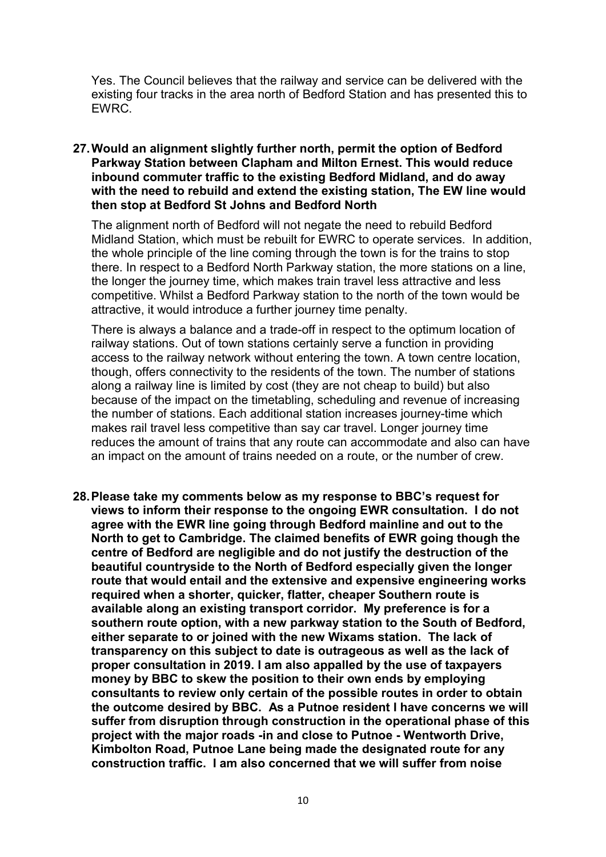Yes. The Council believes that the railway and service can be delivered with the existing four tracks in the area north of Bedford Station and has presented this to EWRC.

# 27.Would an alignment slightly further north, permit the option of Bedford Parkway Station between Clapham and Milton Ernest. This would reduce inbound commuter traffic to the existing Bedford Midland, and do away with the need to rebuild and extend the existing station, The EW line would then stop at Bedford St Johns and Bedford North

 The alignment north of Bedford will not negate the need to rebuild Bedford Midland Station, which must be rebuilt for EWRC to operate services. In addition, the whole principle of the line coming through the town is for the trains to stop there. In respect to a Bedford North Parkway station, the more stations on a line, the longer the journey time, which makes train travel less attractive and less competitive. Whilst a Bedford Parkway station to the north of the town would be attractive, it would introduce a further journey time penalty.

 There is always a balance and a trade-off in respect to the optimum location of railway stations. Out of town stations certainly serve a function in providing access to the railway network without entering the town. A town centre location, though, offers connectivity to the residents of the town. The number of stations along a railway line is limited by cost (they are not cheap to build) but also because of the impact on the timetabling, scheduling and revenue of increasing the number of stations. Each additional station increases journey-time which makes rail travel less competitive than say car travel. Longer journey time reduces the amount of trains that any route can accommodate and also can have an impact on the amount of trains needed on a route, or the number of crew.

 28.Please take my comments below as my response to BBC's request for views to inform their response to the ongoing EWR consultation. I do not agree with the EWR line going through Bedford mainline and out to the North to get to Cambridge. The claimed benefits of EWR going though the centre of Bedford are negligible and do not justify the destruction of the beautiful countryside to the North of Bedford especially given the longer route that would entail and the extensive and expensive engineering works required when a shorter, quicker, flatter, cheaper Southern route is available along an existing transport corridor. My preference is for a southern route option, with a new parkway station to the South of Bedford, either separate to or joined with the new Wixams station. The lack of transparency on this subject to date is outrageous as well as the lack of proper consultation in 2019. I am also appalled by the use of taxpayers money by BBC to skew the position to their own ends by employing consultants to review only certain of the possible routes in order to obtain the outcome desired by BBC. As a Putnoe resident I have concerns we will suffer from disruption through construction in the operational phase of this project with the major roads -in and close to Putnoe - Wentworth Drive, Kimbolton Road, Putnoe Lane being made the designated route for any construction traffic. I am also concerned that we will suffer from noise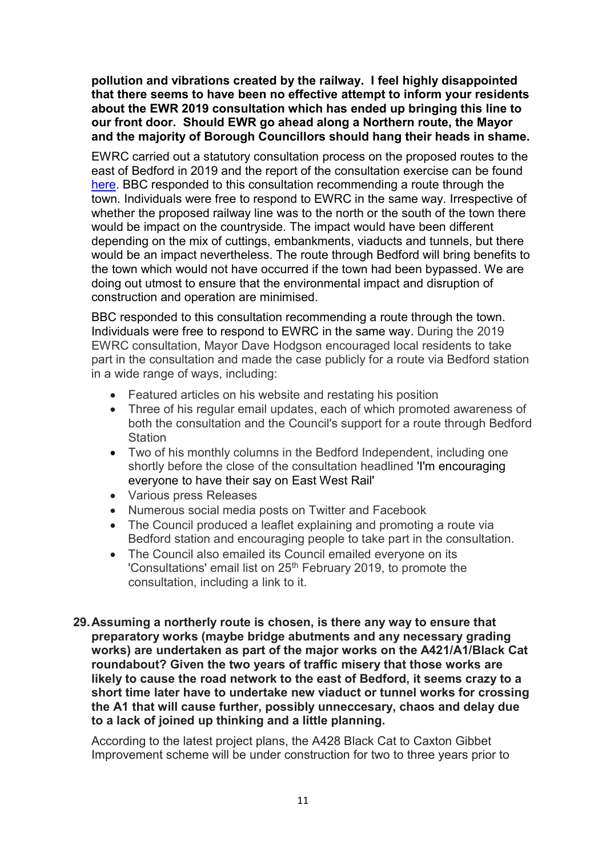pollution and vibrations created by the railway. I feel highly disappointed that there seems to have been no effective attempt to inform your residents about the EWR 2019 consultation which has ended up bringing this line to our front door. Should EWR go ahead along a Northern route, the Mayor and the majority of Borough Councillors should hang their heads in shame.

 EWRC carried out a statutory consultation process on the proposed routes to the east of Bedford in 2019 and the report of the consultation exercise can be found here. BBC responded to this consultation recommending a route through the town. Individuals were free to respond to EWRC in the same way. Irrespective of whether the proposed railway line was to the north or the south of the town there would be impact on the countryside. The impact would have been different depending on the mix of cuttings, embankments, viaducts and tunnels, but there would be an impact nevertheless. The route through Bedford will bring benefits to the town which would not have occurred if the town had been bypassed. We are doing out utmost to ensure that the environmental impact and disruption of construction and operation are minimised.

 BBC responded to this consultation recommending a route through the town. Individuals were free to respond to EWRC in the same way. During the 2019 EWRC consultation, Mayor Dave Hodgson encouraged local residents to take part in the consultation and made the case publicly for a route via Bedford station in a wide range of ways, including:

- Featured articles on his website and restating his position
- Three of his regular email updates, each of which promoted awareness of both the consultation and the Council's support for a route through Bedford **Station**
- Two of his monthly columns in the Bedford Independent, including one shortly before the close of the consultation headlined 'I'm encouraging everyone to have their say on East West Rail'
- Various press Releases
- Numerous social media posts on Twitter and Facebook
- The Council produced a leaflet explaining and promoting a route via Bedford station and encouraging people to take part in the consultation.
- The Council also emailed its Council emailed everyone on its 'Consultations' email list on 25<sup>th</sup> February 2019, to promote the consultation, including a link to it.
- 29.Assuming a northerly route is chosen, is there any way to ensure that preparatory works (maybe bridge abutments and any necessary grading works) are undertaken as part of the major works on the A421/A1/Black Cat roundabout? Given the two years of traffic misery that those works are likely to cause the road network to the east of Bedford, it seems crazy to a short time later have to undertake new viaduct or tunnel works for crossing the A1 that will cause further, possibly unneccesary, chaos and delay due to a lack of joined up thinking and a little planning.

 According to the latest project plans, the A428 Black Cat to Caxton Gibbet Improvement scheme will be under construction for two to three years prior to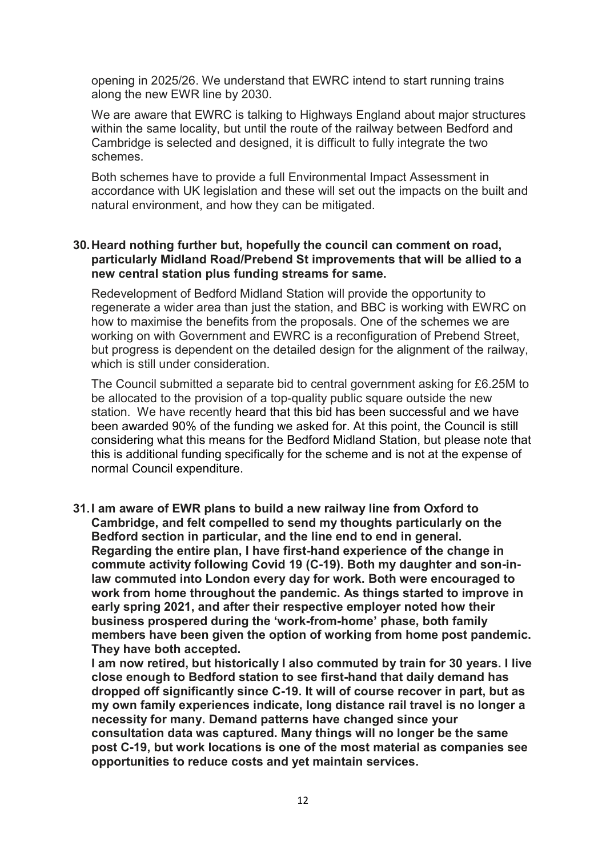opening in 2025/26. We understand that EWRC intend to start running trains along the new EWR line by 2030.

 We are aware that EWRC is talking to Highways England about major structures within the same locality, but until the route of the railway between Bedford and Cambridge is selected and designed, it is difficult to fully integrate the two schemes.

 Both schemes have to provide a full Environmental Impact Assessment in accordance with UK legislation and these will set out the impacts on the built and natural environment, and how they can be mitigated.

# 30.Heard nothing further but, hopefully the council can comment on road, particularly Midland Road/Prebend St improvements that will be allied to a new central station plus funding streams for same.

 Redevelopment of Bedford Midland Station will provide the opportunity to regenerate a wider area than just the station, and BBC is working with EWRC on how to maximise the benefits from the proposals. One of the schemes we are working on with Government and EWRC is a reconfiguration of Prebend Street, but progress is dependent on the detailed design for the alignment of the railway, which is still under consideration.

 The Council submitted a separate bid to central government asking for £6.25M to be allocated to the provision of a top-quality public square outside the new station. We have recently heard that this bid has been successful and we have been awarded 90% of the funding we asked for. At this point, the Council is still considering what this means for the Bedford Midland Station, but please note that this is additional funding specifically for the scheme and is not at the expense of normal Council expenditure.

 31.I am aware of EWR plans to build a new railway line from Oxford to Cambridge, and felt compelled to send my thoughts particularly on the Bedford section in particular, and the line end to end in general. Regarding the entire plan, I have first-hand experience of the change in commute activity following Covid 19 (C-19). Both my daughter and son-in- law commuted into London every day for work. Both were encouraged to work from home throughout the pandemic. As things started to improve in early spring 2021, and after their respective employer noted how their business prospered during the 'work-from-home' phase, both family members have been given the option of working from home post pandemic. They have both accepted.

 I am now retired, but historically I also commuted by train for 30 years. I live close enough to Bedford station to see first-hand that daily demand has dropped off significantly since C-19. It will of course recover in part, but as my own family experiences indicate, long distance rail travel is no longer a necessity for many. Demand patterns have changed since your consultation data was captured. Many things will no longer be the same post C-19, but work locations is one of the most material as companies see opportunities to reduce costs and yet maintain services.